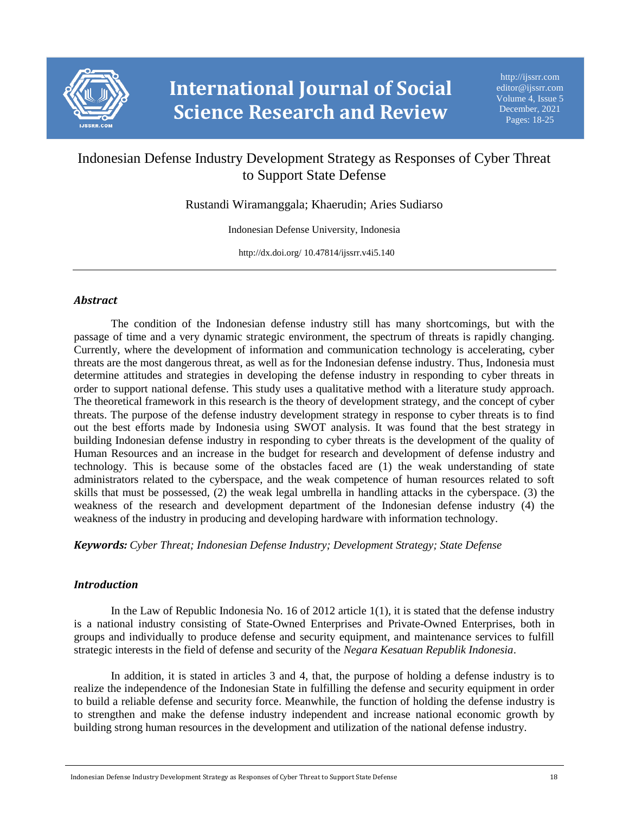

# Indonesian Defense Industry Development Strategy as Responses of Cyber Threat to Support State Defense

Rustandi Wiramanggala; Khaerudin; Aries Sudiarso

Indonesian Defense University, Indonesia

http://dx.doi.org/ 10.47814/ijssrr.v4i5.140

#### *Abstract*

The condition of the Indonesian defense industry still has many shortcomings, but with the passage of time and a very dynamic strategic environment, the spectrum of threats is rapidly changing. Currently, where the development of information and communication technology is accelerating, cyber threats are the most dangerous threat, as well as for the Indonesian defense industry. Thus, Indonesia must determine attitudes and strategies in developing the defense industry in responding to cyber threats in order to support national defense. This study uses a qualitative method with a literature study approach. The theoretical framework in this research is the theory of development strategy, and the concept of cyber threats. The purpose of the defense industry development strategy in response to cyber threats is to find out the best efforts made by Indonesia using SWOT analysis. It was found that the best strategy in building Indonesian defense industry in responding to cyber threats is the development of the quality of Human Resources and an increase in the budget for research and development of defense industry and technology. This is because some of the obstacles faced are (1) the weak understanding of state administrators related to the cyberspace, and the weak competence of human resources related to soft skills that must be possessed, (2) the weak legal umbrella in handling attacks in the cyberspace. (3) the weakness of the research and development department of the Indonesian defense industry (4) the weakness of the industry in producing and developing hardware with information technology.

*Keywords: Cyber Threat; Indonesian Defense Industry; Development Strategy; State Defense*

## *Introduction*

In the Law of Republic Indonesia No. 16 of 2012 article 1(1), it is stated that the defense industry is a national industry consisting of State-Owned Enterprises and Private-Owned Enterprises, both in groups and individually to produce defense and security equipment, and maintenance services to fulfill strategic interests in the field of defense and security of the *Negara Kesatuan Republik Indonesia*.

In addition, it is stated in articles 3 and 4, that, the purpose of holding a defense industry is to realize the independence of the Indonesian State in fulfilling the defense and security equipment in order to build a reliable defense and security force. Meanwhile, the function of holding the defense industry is to strengthen and make the defense industry independent and increase national economic growth by building strong human resources in the development and utilization of the national defense industry.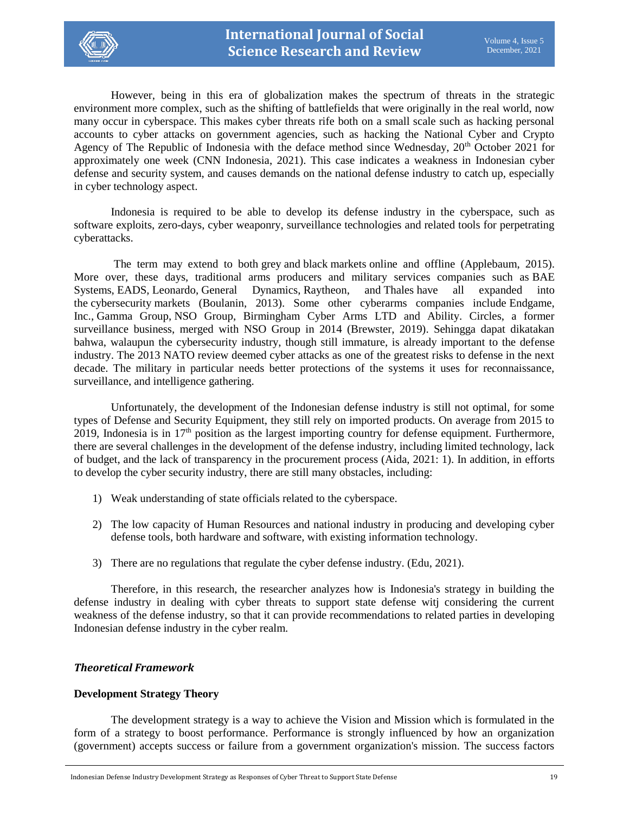

However, being in this era of globalization makes the spectrum of threats in the strategic environment more complex, such as the shifting of battlefields that were originally in the real world, now many occur in cyberspace. This makes cyber threats rife both on a small scale such as hacking personal accounts to cyber attacks on government agencies, such as hacking the National Cyber and Crypto Agency of The Republic of Indonesia with the deface method since Wednesday, 20<sup>th</sup> October 2021 for approximately one week (CNN Indonesia, 2021). This case indicates a weakness in Indonesian cyber defense and security system, and causes demands on the national defense industry to catch up, especially in cyber technology aspect.

Indonesia is required to be able to develop its defense industry in the cyberspace, such as software exploits, zero-days, cyber weaponry, surveillance technologies and related tools for perpetrating cyberattacks.

The term may extend to both [grey](https://en.wikipedia.org/wiki/Grey_hat) and [black](https://en.wikipedia.org/wiki/Black_hat_(computer_security)) markets [online and offline](https://en.wikipedia.org/wiki/Online_and_offline) (Applebaum, 2015). More over, these days, traditional arms producers and military services companies such as [BAE](https://en.wikipedia.org/wiki/BAE_Systems) [Systems,](https://en.wikipedia.org/wiki/BAE_Systems) [EADS,](https://en.wikipedia.org/wiki/EADS) [Leonardo,](https://en.wikipedia.org/wiki/Leonardo_S.p.A.) [General Dynamics,](https://en.wikipedia.org/wiki/General_Dynamics) [Raytheon,](https://en.wikipedia.org/wiki/Raytheon) and [Thales](https://en.wikipedia.org/wiki/Thales_Group) have all expanded into the [cybersecurity](https://en.wikipedia.org/wiki/Cybersecurity) markets (Boulanin, 2013). Some other cyberarms companies include [Endgame,](https://en.wikipedia.org/wiki/Endgame,_Inc.)  [Inc.,](https://en.wikipedia.org/wiki/Endgame,_Inc.) [Gamma Group,](https://en.wikipedia.org/wiki/Gamma_Group) [NSO Group,](https://en.wikipedia.org/wiki/NSO_Group) Birmingham Cyber Arms LTD and Ability. Circles, a former surveillance business, merged with NSO Group in 2014 (Brewster, 2019). Sehingga dapat dikatakan bahwa, walaupun the cybersecurity industry, though still immature, is already important to the defense industry. The 2013 NATO review deemed cyber attacks as one of the greatest risks to defense in the next decade. The military in particular needs better protections of the systems it uses for reconnaissance, surveillance, and intelligence gathering.

Unfortunately, the development of the Indonesian defense industry is still not optimal, for some types of Defense and Security Equipment, they still rely on imported products. On average from 2015 to 2019, Indonesia is in  $17<sup>th</sup>$  position as the largest importing country for defense equipment. Furthermore, there are several challenges in the development of the defense industry, including limited technology, lack of budget, and the lack of transparency in the procurement process (Aida, 2021: 1). In addition, in efforts to develop the cyber security industry, there are still many obstacles, including:

- 1) Weak understanding of state officials related to the cyberspace.
- 2) The low capacity of Human Resources and national industry in producing and developing cyber defense tools, both hardware and software, with existing information technology.
- 3) There are no regulations that regulate the cyber defense industry. (Edu, 2021).

Therefore, in this research, the researcher analyzes how is Indonesia's strategy in building the defense industry in dealing with cyber threats to support state defense witj considering the current weakness of the defense industry, so that it can provide recommendations to related parties in developing Indonesian defense industry in the cyber realm.

## *Theoretical Framework*

## **Development Strategy Theory**

The development strategy is a way to achieve the Vision and Mission which is formulated in the form of a strategy to boost performance. Performance is strongly influenced by how an organization (government) accepts success or failure from a government organization's mission. The success factors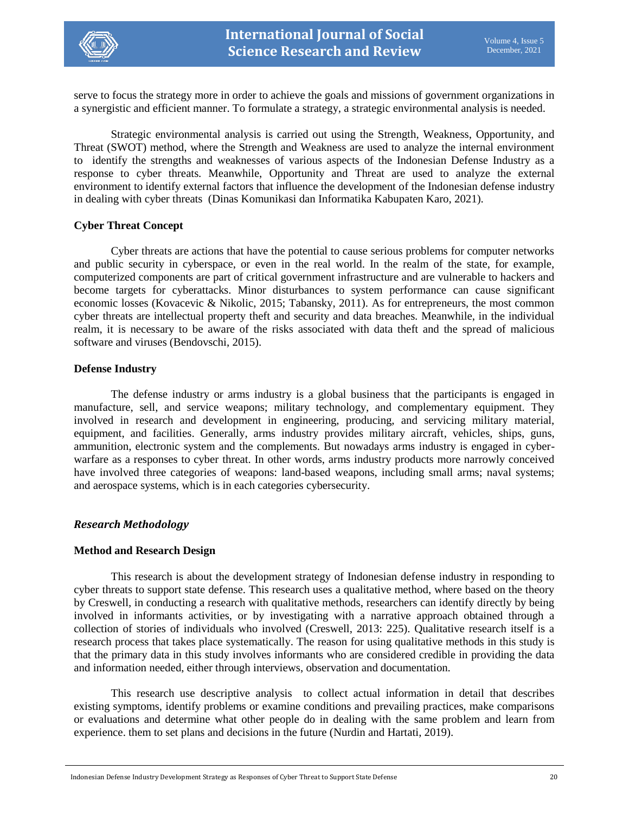

serve to focus the strategy more in order to achieve the goals and missions of government organizations in a synergistic and efficient manner. To formulate a strategy, a strategic environmental analysis is needed.

Strategic environmental analysis is carried out using the Strength, Weakness, Opportunity, and Threat (SWOT) method, where the Strength and Weakness are used to analyze the internal environment to identify the strengths and weaknesses of various aspects of the Indonesian Defense Industry as a response to cyber threats. Meanwhile, Opportunity and Threat are used to analyze the external environment to identify external factors that influence the development of the Indonesian defense industry in dealing with cyber threats (Dinas Komunikasi dan Informatika Kabupaten Karo, 2021).

#### **Cyber Threat Concept**

Cyber threats are actions that have the potential to cause serious problems for computer networks and public security in cyberspace, or even in the real world. In the realm of the state, for example, computerized components are part of critical government infrastructure and are vulnerable to hackers and become targets for cyberattacks. Minor disturbances to system performance can cause significant economic losses (Kovacevic & Nikolic, 2015; Tabansky, 2011). As for entrepreneurs, the most common cyber threats are intellectual property theft and security and data breaches. Meanwhile, in the individual realm, it is necessary to be aware of the risks associated with data theft and the spread of malicious software and viruses (Bendovschi, 2015).

#### **Defense Industry**

The defense industry or arms industry is a global business that the participants is engaged in manufacture, sell, and service weapons; military technology, and complementary equipment. They involved in research and development in engineering, producing, and servicing military material, equipment, and facilities. Generally, arms industry provides military aircraft, vehicles, ships, guns, ammunition, electronic system and the complements. But nowadays arms industry is engaged in cyberwarfare as a responses to cyber threat. In other words, arms industry products more narrowly conceived have involved three categories of weapons: land-based weapons, including small arms; naval systems; and aerospace systems, which is in each categories cybersecurity.

## *Research Methodology*

## **Method and Research Design**

This research is about the development strategy of Indonesian defense industry in responding to cyber threats to support state defense. This research uses a qualitative method, where based on the theory by Creswell, in conducting a research with qualitative methods, researchers can identify directly by being involved in informants activities, or by investigating with a narrative approach obtained through a collection of stories of individuals who involved (Creswell, 2013: 225). Qualitative research itself is a research process that takes place systematically. The reason for using qualitative methods in this study is that the primary data in this study involves informants who are considered credible in providing the data and information needed, either through interviews, observation and documentation.

This research use descriptive analysis to collect actual information in detail that describes existing symptoms, identify problems or examine conditions and prevailing practices, make comparisons or evaluations and determine what other people do in dealing with the same problem and learn from experience. them to set plans and decisions in the future (Nurdin and Hartati, 2019).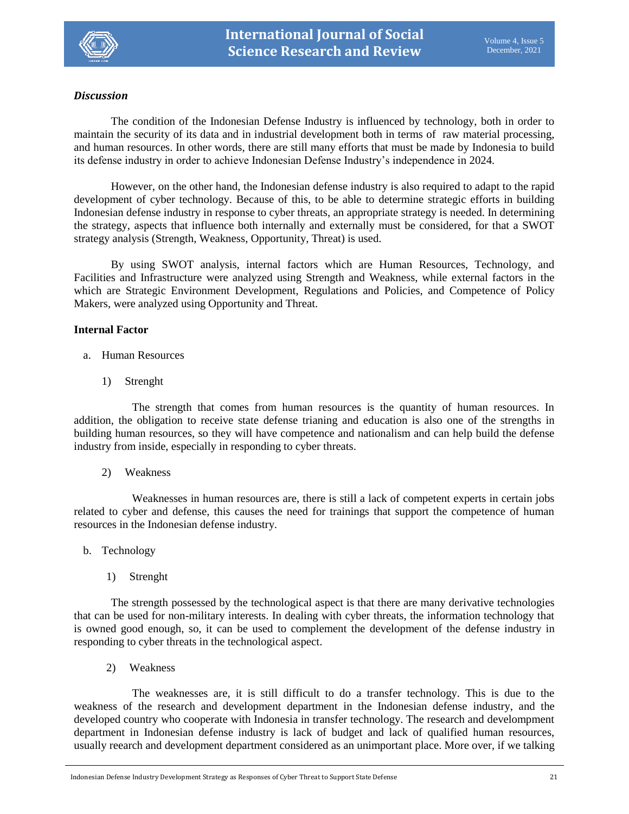

## *Discussion*

The condition of the Indonesian Defense Industry is influenced by technology, both in order to maintain the security of its data and in industrial development both in terms of raw material processing, and human resources. In other words, there are still many efforts that must be made by Indonesia to build its defense industry in order to achieve Indonesian Defense Industry's independence in 2024.

However, on the other hand, the Indonesian defense industry is also required to adapt to the rapid development of cyber technology. Because of this, to be able to determine strategic efforts in building Indonesian defense industry in response to cyber threats, an appropriate strategy is needed. In determining the strategy, aspects that influence both internally and externally must be considered, for that a SWOT strategy analysis (Strength, Weakness, Opportunity, Threat) is used*.*

By using SWOT analysis, internal factors which are Human Resources, Technology, and Facilities and Infrastructure were analyzed using Strength and Weakness, while external factors in the which are Strategic Environment Development, Regulations and Policies, and Competence of Policy Makers, were analyzed using Opportunity and Threat.

## **Internal Factor**

- a. Human Resources
	- 1) Strenght

The strength that comes from human resources is the quantity of human resources. In addition, the obligation to receive state defense trianing and education is also one of the strengths in building human resources, so they will have competence and nationalism and can help build the defense industry from inside, especially in responding to cyber threats.

#### 2) Weakness

Weaknesses in human resources are, there is still a lack of competent experts in certain jobs related to cyber and defense, this causes the need for trainings that support the competence of human resources in the Indonesian defense industry.

- b. Technology
	- 1) Strenght

The strength possessed by the technological aspect is that there are many derivative technologies that can be used for non-military interests. In dealing with cyber threats, the information technology that is owned good enough, so, it can be used to complement the development of the defense industry in responding to cyber threats in the technological aspect.

2) Weakness

The weaknesses are, it is still difficult to do a transfer technology. This is due to the weakness of the research and development department in the Indonesian defense industry, and the developed country who cooperate with Indonesia in transfer technology. The research and develompment department in Indonesian defense industry is lack of budget and lack of qualified human resources, usually reearch and development department considered as an unimportant place. More over, if we talking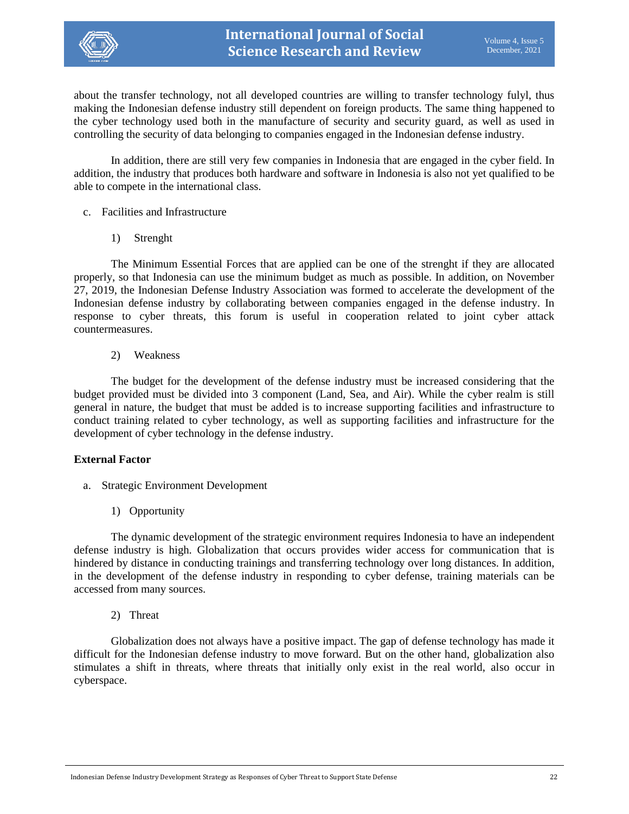

about the transfer technology, not all developed countries are willing to transfer technology fulyl, thus making the Indonesian defense industry still dependent on foreign products. The same thing happened to the cyber technology used both in the manufacture of security and security guard, as well as used in controlling the security of data belonging to companies engaged in the Indonesian defense industry.

In addition, there are still very few companies in Indonesia that are engaged in the cyber field. In addition, the industry that produces both hardware and software in Indonesia is also not yet qualified to be able to compete in the international class.

- c. Facilities and Infrastructure
	- 1) Strenght

The Minimum Essential Forces that are applied can be one of the strenght if they are allocated properly, so that Indonesia can use the minimum budget as much as possible. In addition, on November 27, 2019, the Indonesian Defense Industry Association was formed to accelerate the development of the Indonesian defense industry by collaborating between companies engaged in the defense industry. In response to cyber threats, this forum is useful in cooperation related to joint cyber attack countermeasures.

2) Weakness

The budget for the development of the defense industry must be increased considering that the budget provided must be divided into 3 component (Land, Sea, and Air). While the cyber realm is still general in nature, the budget that must be added is to increase supporting facilities and infrastructure to conduct training related to cyber technology, as well as supporting facilities and infrastructure for the development of cyber technology in the defense industry.

## **External Factor**

- a. Strategic Environment Development
	- 1) Opportunity

The dynamic development of the strategic environment requires Indonesia to have an independent defense industry is high. Globalization that occurs provides wider access for communication that is hindered by distance in conducting trainings and transferring technology over long distances. In addition, in the development of the defense industry in responding to cyber defense, training materials can be accessed from many sources.

2) Threat

Globalization does not always have a positive impact. The gap of defense technology has made it difficult for the Indonesian defense industry to move forward. But on the other hand, globalization also stimulates a shift in threats, where threats that initially only exist in the real world, also occur in cyberspace.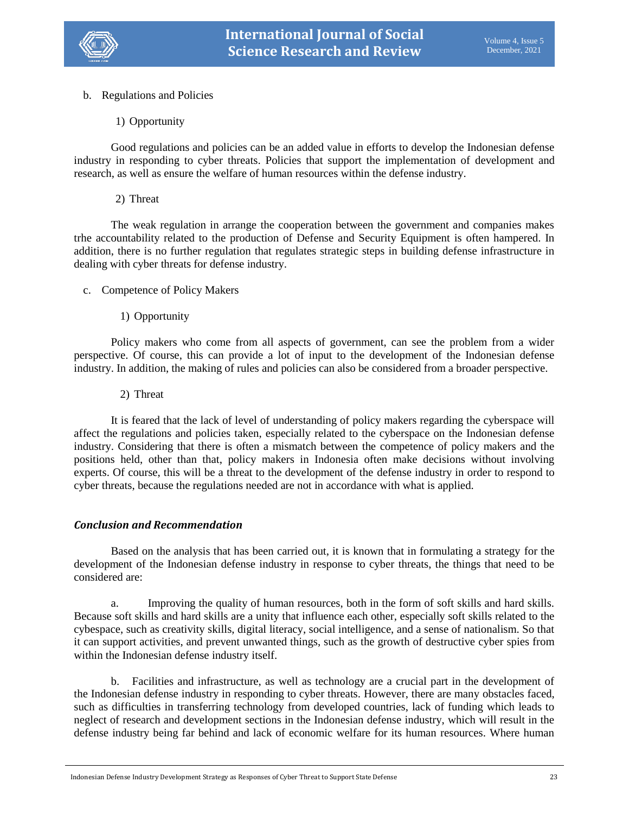

- b. Regulations and Policies
	- 1) Opportunity

Good regulations and policies can be an added value in efforts to develop the Indonesian defense industry in responding to cyber threats. Policies that support the implementation of development and research, as well as ensure the welfare of human resources within the defense industry.

2) Threat

The weak regulation in arrange the cooperation between the government and companies makes trhe accountability related to the production of Defense and Security Equipment is often hampered. In addition, there is no further regulation that regulates strategic steps in building defense infrastructure in dealing with cyber threats for defense industry.

- c. Competence of Policy Makers
	- 1) Opportunity

Policy makers who come from all aspects of government, can see the problem from a wider perspective. Of course, this can provide a lot of input to the development of the Indonesian defense industry. In addition, the making of rules and policies can also be considered from a broader perspective.

2) Threat

It is feared that the lack of level of understanding of policy makers regarding the cyberspace will affect the regulations and policies taken, especially related to the cyberspace on the Indonesian defense industry. Considering that there is often a mismatch between the competence of policy makers and the positions held, other than that, policy makers in Indonesia often make decisions without involving experts. Of course, this will be a threat to the development of the defense industry in order to respond to cyber threats, because the regulations needed are not in accordance with what is applied.

## *Conclusion and Recommendation*

Based on the analysis that has been carried out, it is known that in formulating a strategy for the development of the Indonesian defense industry in response to cyber threats, the things that need to be considered are:

a. Improving the quality of human resources, both in the form of soft skills and hard skills. Because soft skills and hard skills are a unity that influence each other, especially soft skills related to the cybespace, such as creativity skills, digital literacy, social intelligence, and a sense of nationalism. So that it can support activities, and prevent unwanted things, such as the growth of destructive cyber spies from within the Indonesian defense industry itself.

b. Facilities and infrastructure, as well as technology are a crucial part in the development of the Indonesian defense industry in responding to cyber threats. However, there are many obstacles faced, such as difficulties in transferring technology from developed countries, lack of funding which leads to neglect of research and development sections in the Indonesian defense industry, which will result in the defense industry being far behind and lack of economic welfare for its human resources. Where human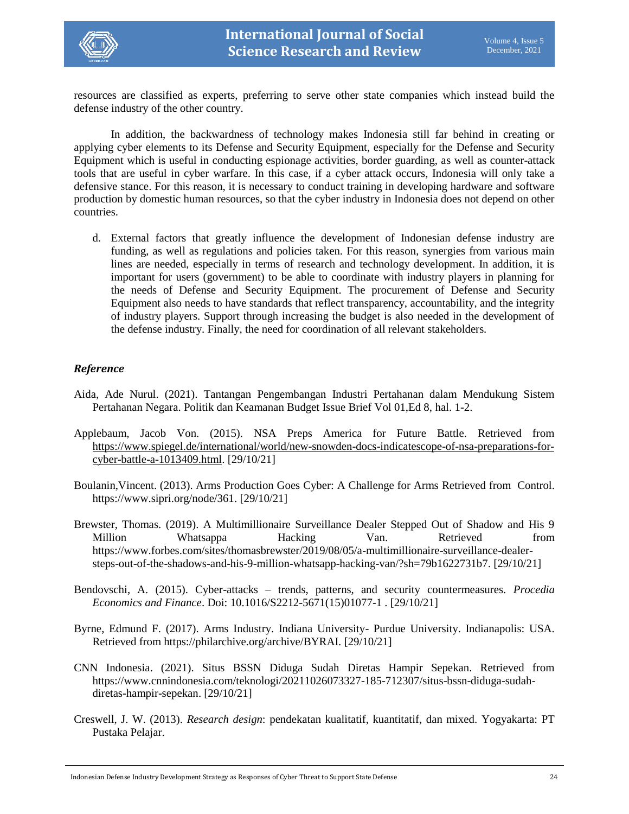

resources are classified as experts, preferring to serve other state companies which instead build the defense industry of the other country.

In addition, the backwardness of technology makes Indonesia still far behind in creating or applying cyber elements to its Defense and Security Equipment, especially for the Defense and Security Equipment which is useful in conducting espionage activities, border guarding, as well as counter-attack tools that are useful in cyber warfare. In this case, if a cyber attack occurs, Indonesia will only take a defensive stance. For this reason, it is necessary to conduct training in developing hardware and software production by domestic human resources, so that the cyber industry in Indonesia does not depend on other countries.

d. External factors that greatly influence the development of Indonesian defense industry are funding, as well as regulations and policies taken. For this reason, synergies from various main lines are needed, especially in terms of research and technology development. In addition, it is important for users (government) to be able to coordinate with industry players in planning for the needs of Defense and Security Equipment. The procurement of Defense and Security Equipment also needs to have standards that reflect transparency, accountability, and the integrity of industry players. Support through increasing the budget is also needed in the development of the defense industry. Finally, the need for coordination of all relevant stakeholders.

## *Reference*

- Aida, Ade Nurul. (2021). Tantangan Pengembangan Industri Pertahanan dalam Mendukung Sistem Pertahanan Negara. Politik dan Keamanan Budget Issue Brief Vol 01,Ed 8, hal. 1-2.
- Applebaum, Jacob Von. (2015). NSA Preps America for Future Battle. Retrieved from [https://www.spiegel.de/international/world/new-snowden-docs-indicatescope-of-nsa-preparations-for](https://www.spiegel.de/international/world/new-snowden-docs-indicatescope-of-nsa-preparations-for-cyber-battle-a-1013409.html)[cyber-battle-a-1013409.html.](https://www.spiegel.de/international/world/new-snowden-docs-indicatescope-of-nsa-preparations-for-cyber-battle-a-1013409.html) [29/10/21]
- Boulanin,Vincent. (2013). Arms Production Goes Cyber: A Challenge for Arms Retrieved from Control. [https://www.sipri.org/node/361.](https://www.sipri.org/node/361) [29/10/21]
- Brewster, Thomas. (2019). A Multimillionaire Surveillance Dealer Stepped Out of Shadow and His 9 Million Whatsappa Hacking Van. Retrieved from [https://www.forbes.com/sites/thomasbrewster/2019/08/05/a-multimillionaire-surveillance-dealer](https://www.forbes.com/sites/thomasbrewster/2019/08/05/a-multimillionaire-surveillance-dealer-steps-out-of-the-shadows-and-his-9-million-whatsapp-hacking-van/?sh=79b1622731b7)[steps-out-of-the-shadows-and-his-9-million-whatsapp-hacking-van/?sh=79b1622731b7.](https://www.forbes.com/sites/thomasbrewster/2019/08/05/a-multimillionaire-surveillance-dealer-steps-out-of-the-shadows-and-his-9-million-whatsapp-hacking-van/?sh=79b1622731b7) [29/10/21]
- Bendovschi, A. (2015). Cyber-attacks trends, patterns, and security countermeasures. *Procedia Economics and Finance*. Doi: 10.1016/S2212-5671(15)01077-1 . [29/10/21]
- Byrne, Edmund F. (2017). Arms Industry. Indiana University- Purdue University. Indianapolis: USA. Retrieved from https://philarchive.org/archive/BYRAI. [29/10/21]
- CNN Indonesia. (2021). Situs BSSN Diduga Sudah Diretas Hampir Sepekan. Retrieved from [https://www.cnnindonesia.com/teknologi/20211026073327-185-712307/situs-bssn-diduga-sudah](https://www.cnnindonesia.com/teknologi/20211026073327-185-712307/situs-bssn-diduga-sudah-diretas-hampir-sepekan)[diretas-hampir-sepekan.](https://www.cnnindonesia.com/teknologi/20211026073327-185-712307/situs-bssn-diduga-sudah-diretas-hampir-sepekan) [29/10/21]
- Creswell, J. W. (2013). *Research design*: pendekatan kualitatif, kuantitatif, dan mixed. Yogyakarta: PT Pustaka Pelajar.